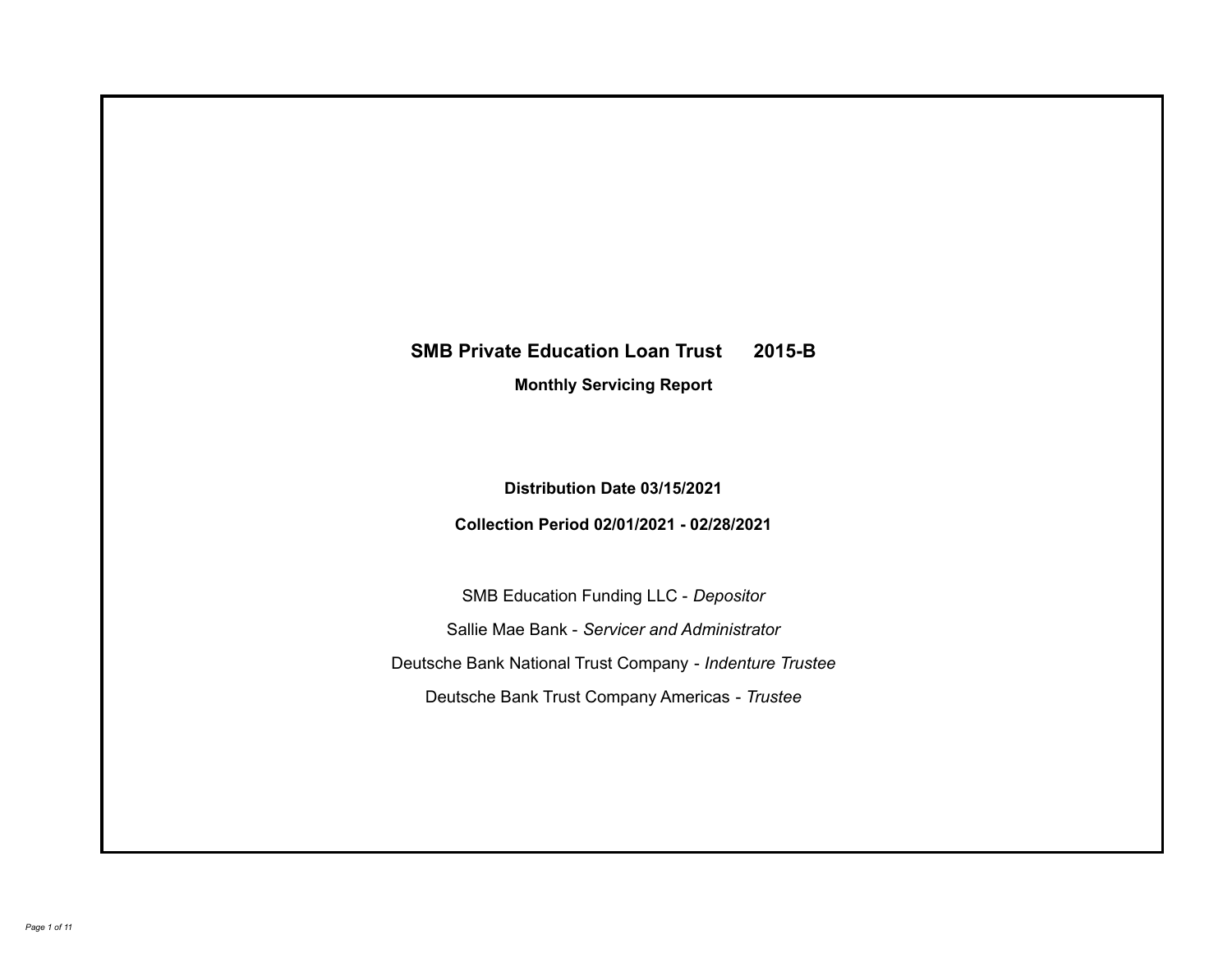# **SMB Private Education Loan Trust 2015-B**

**Monthly Servicing Report**

**Distribution Date 03/15/2021**

**Collection Period 02/01/2021 - 02/28/2021**

SMB Education Funding LLC - *Depositor* Sallie Mae Bank - *Servicer and Administrator* Deutsche Bank National Trust Company - *Indenture Trustee* Deutsche Bank Trust Company Americas - *Trustee*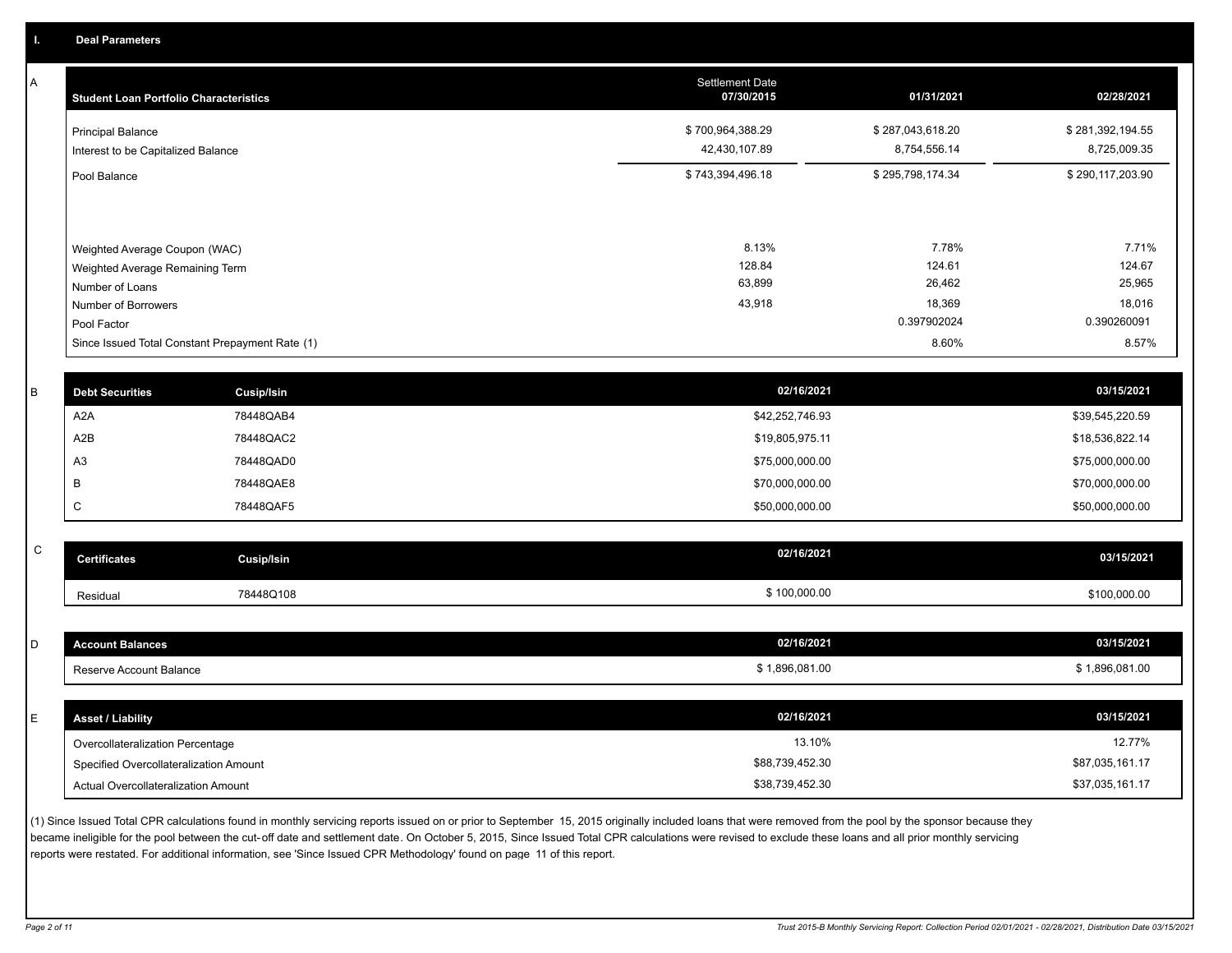A

| <b>Student Loan Portfolio Characteristics</b>                  | <b>Settlement Date</b><br>07/30/2015 | 01/31/2021                       | 02/28/2021                       |
|----------------------------------------------------------------|--------------------------------------|----------------------------------|----------------------------------|
| <b>Principal Balance</b><br>Interest to be Capitalized Balance | \$700,964,388.29<br>42,430,107.89    | \$287,043,618.20<br>8,754,556.14 | \$281,392,194.55<br>8,725,009.35 |
| Pool Balance                                                   | \$743,394,496.18                     | \$295,798,174.34                 | \$290,117,203.90                 |
| Weighted Average Coupon (WAC)                                  | 8.13%                                | 7.78%                            | 7.71%                            |
| Weighted Average Remaining Term                                | 128.84                               | 124.61                           | 124.67                           |
| Number of Loans                                                | 63,899                               | 26,462                           | 25,965                           |
| Number of Borrowers<br>Pool Factor                             | 43,918                               | 18,369<br>0.397902024            | 18,016<br>0.390260091            |
| Since Issued Total Constant Prepayment Rate (1)                |                                      | 8.60%                            | 8.57%                            |

| <b>Debt Securities</b> | <b>Cusip/Isin</b> | 02/16/2021      | 03/15/2021      |
|------------------------|-------------------|-----------------|-----------------|
| A2A                    | 78448QAB4         | \$42,252,746.93 | \$39,545,220.59 |
| A2B                    | 78448QAC2         | \$19,805,975.11 | \$18,536,822.14 |
| A3                     | 78448QAD0         | \$75,000,000.00 | \$75,000,000.00 |
|                        | 78448QAE8         | \$70,000,000.00 | \$70,000,000.00 |
| ◡                      | 78448QAF5         | \$50,000,000.00 | \$50,000,000.00 |
|                        |                   |                 |                 |

| C | <b>Certificates</b> | Cusip/Isin | 02/16/2021   | 03/15/2021   |
|---|---------------------|------------|--------------|--------------|
|   | Residual            | 78448Q108  | \$100,000.00 | \$100,000.00 |

| <b>Account Balances</b>                | 02/16/2021      | 03/15/2021      |
|----------------------------------------|-----------------|-----------------|
| Reserve Account Balance                | \$1,896,081.00  | \$1,896,081.00  |
|                                        |                 |                 |
| <b>Asset / Liability</b>               | 02/16/2021      | 03/15/2021      |
| Overcollateralization Percentage       | 13.10%          | 12.77%          |
| Specified Overcollateralization Amount | \$88,739,452.30 | \$87,035,161.17 |
| Actual Overcollateralization Amount    | \$38,739,452.30 | \$37,035,161.17 |

(1) Since Issued Total CPR calculations found in monthly servicing reports issued on or prior to September 15, 2015 originally included loans that were removed from the pool by the sponsor because they became ineligible for the pool between the cut-off date and settlement date. On October 5, 2015, Since Issued Total CPR calculations were revised to exclude these loans and all prior monthly servicing reports were restated. For additional information, see 'Since Issued CPR Methodology' found on page 11 of this report.

*Page 2 of 11 Trust 2015-B Monthly Servicing Report: Collection Period 02/01/2021 - 02/28/2021, Distribution Date 03/15/2021*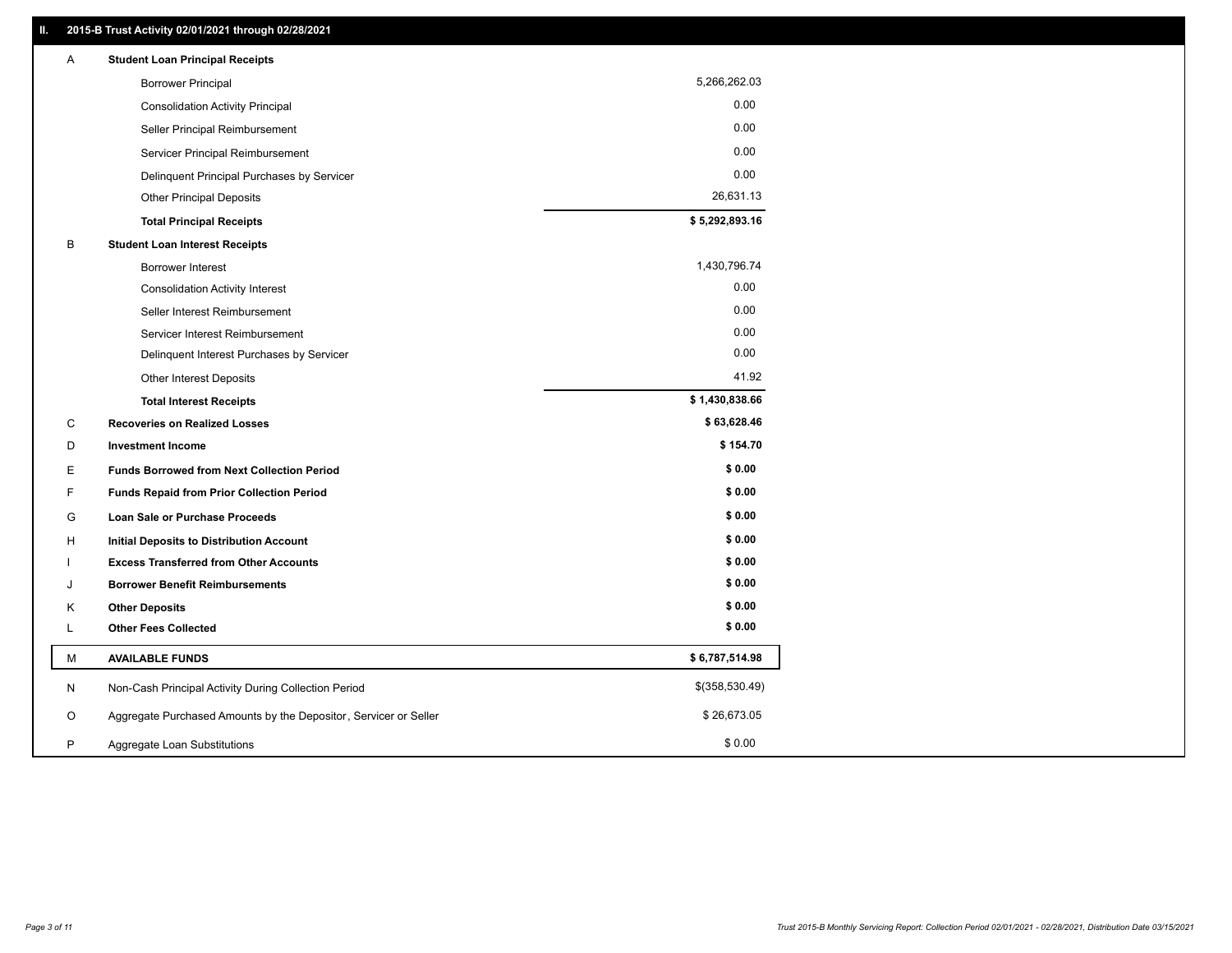| Α | <b>Student Loan Principal Receipts</b>                           |                |
|---|------------------------------------------------------------------|----------------|
|   | <b>Borrower Principal</b>                                        | 5,266,262.03   |
|   | <b>Consolidation Activity Principal</b>                          | 0.00           |
|   | Seller Principal Reimbursement                                   | 0.00           |
|   | Servicer Principal Reimbursement                                 | 0.00           |
|   | Delinquent Principal Purchases by Servicer                       | 0.00           |
|   | <b>Other Principal Deposits</b>                                  | 26,631.13      |
|   | <b>Total Principal Receipts</b>                                  | \$5,292,893.16 |
| B | <b>Student Loan Interest Receipts</b>                            |                |
|   | <b>Borrower Interest</b>                                         | 1,430,796.74   |
|   | <b>Consolidation Activity Interest</b>                           | 0.00           |
|   | Seller Interest Reimbursement                                    | 0.00           |
|   | Servicer Interest Reimbursement                                  | 0.00           |
|   | Delinquent Interest Purchases by Servicer                        | 0.00           |
|   | Other Interest Deposits                                          | 41.92          |
|   | <b>Total Interest Receipts</b>                                   | \$1,430,838.66 |
| C | <b>Recoveries on Realized Losses</b>                             | \$63,628.46    |
| D | <b>Investment Income</b>                                         | \$154.70       |
| Е | <b>Funds Borrowed from Next Collection Period</b>                | \$0.00         |
| F | <b>Funds Repaid from Prior Collection Period</b>                 | \$0.00         |
| G | Loan Sale or Purchase Proceeds                                   | \$0.00         |
| н | <b>Initial Deposits to Distribution Account</b>                  | \$0.00         |
|   | <b>Excess Transferred from Other Accounts</b>                    | \$0.00         |
| J | <b>Borrower Benefit Reimbursements</b>                           | \$0.00         |
| Κ | <b>Other Deposits</b>                                            | \$0.00         |
| L | <b>Other Fees Collected</b>                                      | \$0.00         |
| М | <b>AVAILABLE FUNDS</b>                                           | \$6,787,514.98 |
| N | Non-Cash Principal Activity During Collection Period             | \$(358,530.49) |
| O | Aggregate Purchased Amounts by the Depositor, Servicer or Seller | \$26,673.05    |
| P | Aggregate Loan Substitutions                                     | \$0.00         |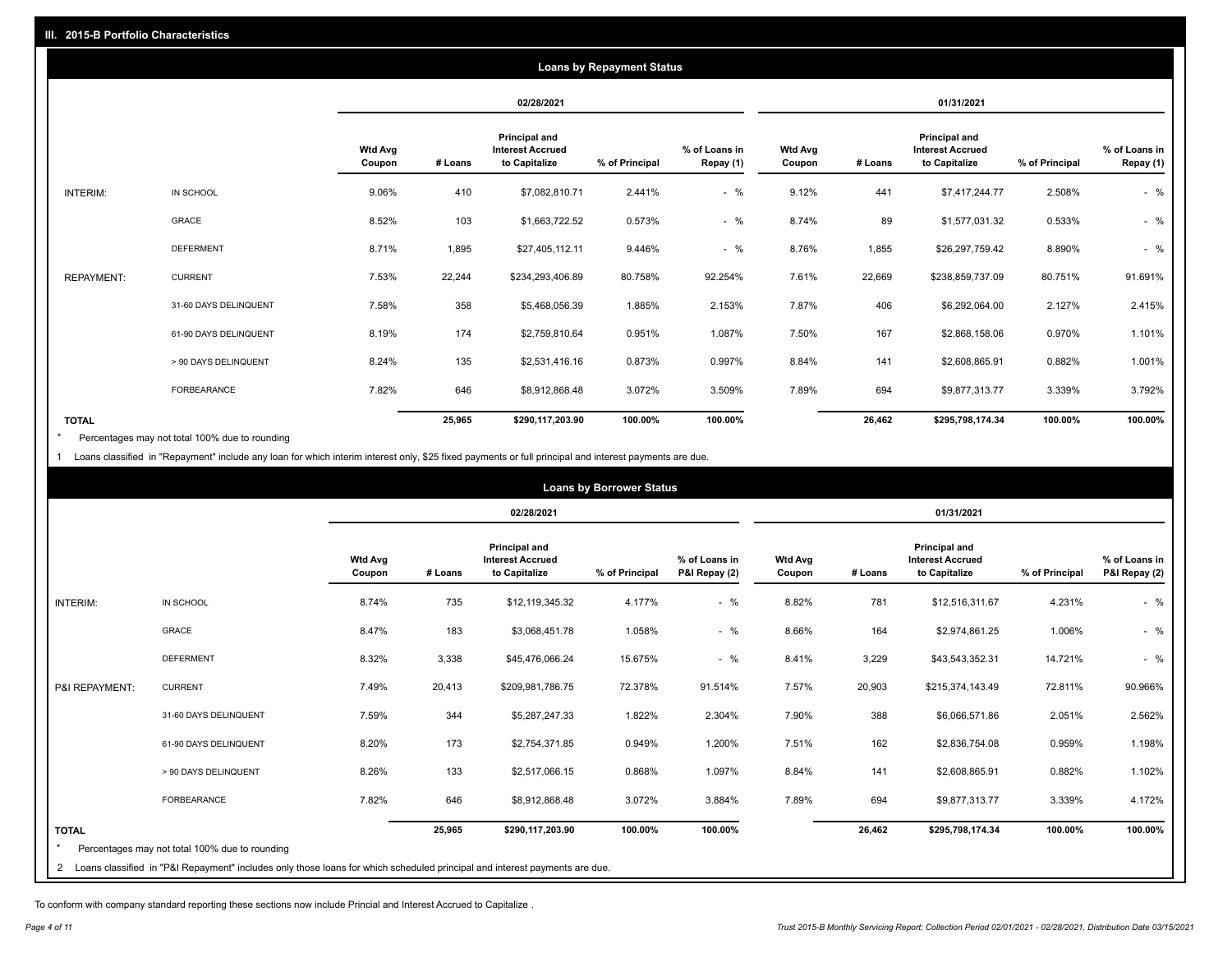|                   | <b>Loans by Repayment Status</b> |                          |         |                                                           |                |                            |                          |         |                                                           |                |                            |
|-------------------|----------------------------------|--------------------------|---------|-----------------------------------------------------------|----------------|----------------------------|--------------------------|---------|-----------------------------------------------------------|----------------|----------------------------|
|                   |                                  |                          |         | 02/28/2021                                                |                |                            |                          |         | 01/31/2021                                                |                |                            |
|                   |                                  | <b>Wtd Avg</b><br>Coupon | # Loans | Principal and<br><b>Interest Accrued</b><br>to Capitalize | % of Principal | % of Loans in<br>Repay (1) | <b>Wtd Avg</b><br>Coupon | # Loans | Principal and<br><b>Interest Accrued</b><br>to Capitalize | % of Principal | % of Loans in<br>Repay (1) |
| INTERIM:          | IN SCHOOL                        | 9.06%                    | 410     | \$7,082,810.71                                            | 2.441%         | $-$ %                      | 9.12%                    | 441     | \$7,417,244.77                                            | 2.508%         | $-$ %                      |
|                   | GRACE                            | 8.52%                    | 103     | \$1,663,722.52                                            | 0.573%         | $-$ %                      | 8.74%                    | 89      | \$1,577,031.32                                            | 0.533%         | $-$ %                      |
|                   | <b>DEFERMENT</b>                 | 8.71%                    | 1,895   | \$27,405,112.11                                           | 9.446%         | $-$ %                      | 8.76%                    | 1,855   | \$26,297,759.42                                           | 8.890%         | $-$ %                      |
| <b>REPAYMENT:</b> | <b>CURRENT</b>                   | 7.53%                    | 22,244  | \$234,293,406.89                                          | 80.758%        | 92.254%                    | 7.61%                    | 22,669  | \$238,859,737.09                                          | 80.751%        | 91.691%                    |
|                   | 31-60 DAYS DELINQUENT            | 7.58%                    | 358     | \$5,468,056.39                                            | 1.885%         | 2.153%                     | 7.87%                    | 406     | \$6,292,064.00                                            | 2.127%         | 2.415%                     |
|                   | 61-90 DAYS DELINQUENT            | 8.19%                    | 174     | \$2,759,810.64                                            | 0.951%         | 1.087%                     | 7.50%                    | 167     | \$2,868,158.06                                            | 0.970%         | 1.101%                     |
|                   | > 90 DAYS DELINQUENT             | 8.24%                    | 135     | \$2,531,416.16                                            | 0.873%         | 0.997%                     | 8.84%                    | 141     | \$2,608,865.91                                            | 0.882%         | 1.001%                     |
|                   | FORBEARANCE                      | 7.82%                    | 646     | \$8,912,868.48                                            | 3.072%         | 3.509%                     | 7.89%                    | 694     | \$9,877,313.77                                            | 3.339%         | 3.792%                     |
| <b>TOTAL</b>      |                                  |                          | 25,965  | \$290,117,203.90                                          | 100.00%        | 100.00%                    |                          | 26,462  | \$295,798,174.34                                          | 100.00%        | 100.00%                    |

Percentages may not total 100% due to rounding \*

1 Loans classified in "Repayment" include any loan for which interim interest only, \$25 fixed payments or full principal and interest payments are due.

|                | <b>Loans by Borrower Status</b>                                                                                            |                          |         |                                                                  |                |                                |                          |         |                                                           |                |                                |
|----------------|----------------------------------------------------------------------------------------------------------------------------|--------------------------|---------|------------------------------------------------------------------|----------------|--------------------------------|--------------------------|---------|-----------------------------------------------------------|----------------|--------------------------------|
|                |                                                                                                                            |                          |         | 02/28/2021                                                       |                |                                | 01/31/2021               |         |                                                           |                |                                |
|                |                                                                                                                            | <b>Wtd Avg</b><br>Coupon | # Loans | <b>Principal and</b><br><b>Interest Accrued</b><br>to Capitalize | % of Principal | % of Loans in<br>P&I Repay (2) | <b>Wtd Avg</b><br>Coupon | # Loans | Principal and<br><b>Interest Accrued</b><br>to Capitalize | % of Principal | % of Loans in<br>P&I Repay (2) |
| INTERIM:       | IN SCHOOL                                                                                                                  | 8.74%                    | 735     | \$12,119,345.32                                                  | 4.177%         | $-$ %                          | 8.82%                    | 781     | \$12,516,311.67                                           | 4.231%         | $-$ %                          |
|                | GRACE                                                                                                                      | 8.47%                    | 183     | \$3,068,451.78                                                   | 1.058%         | $-$ %                          | 8.66%                    | 164     | \$2,974,861.25                                            | 1.006%         | $-$ %                          |
|                | <b>DEFERMENT</b>                                                                                                           | 8.32%                    | 3,338   | \$45,476,066.24                                                  | 15.675%        | $-$ %                          | 8.41%                    | 3,229   | \$43,543,352.31                                           | 14.721%        | $-$ %                          |
| P&I REPAYMENT: | <b>CURRENT</b>                                                                                                             | 7.49%                    | 20,413  | \$209,981,786.75                                                 | 72.378%        | 91.514%                        | 7.57%                    | 20,903  | \$215,374,143.49                                          | 72.811%        | 90.966%                        |
|                | 31-60 DAYS DELINQUENT                                                                                                      | 7.59%                    | 344     | \$5,287,247.33                                                   | 1.822%         | 2.304%                         | 7.90%                    | 388     | \$6,066,571.86                                            | 2.051%         | 2.562%                         |
|                | 61-90 DAYS DELINQUENT                                                                                                      | 8.20%                    | 173     | \$2,754,371.85                                                   | 0.949%         | 1.200%                         | 7.51%                    | 162     | \$2,836,754.08                                            | 0.959%         | 1.198%                         |
|                | > 90 DAYS DELINQUENT                                                                                                       | 8.26%                    | 133     | \$2,517,066.15                                                   | 0.868%         | 1.097%                         | 8.84%                    | 141     | \$2,608,865.91                                            | 0.882%         | 1.102%                         |
|                | <b>FORBEARANCE</b>                                                                                                         | 7.82%                    | 646     | \$8,912,868.48                                                   | 3.072%         | 3.884%                         | 7.89%                    | 694     | \$9,877,313.77                                            | 3.339%         | 4.172%                         |
| <b>TOTAL</b>   |                                                                                                                            |                          | 25,965  | \$290,117,203.90                                                 | 100.00%        | 100.00%                        |                          | 26,462  | \$295,798,174.34                                          | 100.00%        | 100.00%                        |
|                | Percentages may not total 100% due to rounding                                                                             |                          |         |                                                                  |                |                                |                          |         |                                                           |                |                                |
| 2              | Loans classified in "P&I Repayment" includes only those loans for which scheduled principal and interest payments are due. |                          |         |                                                                  |                |                                |                          |         |                                                           |                |                                |

To conform with company standard reporting these sections now include Princial and Interest Accrued to Capitalize .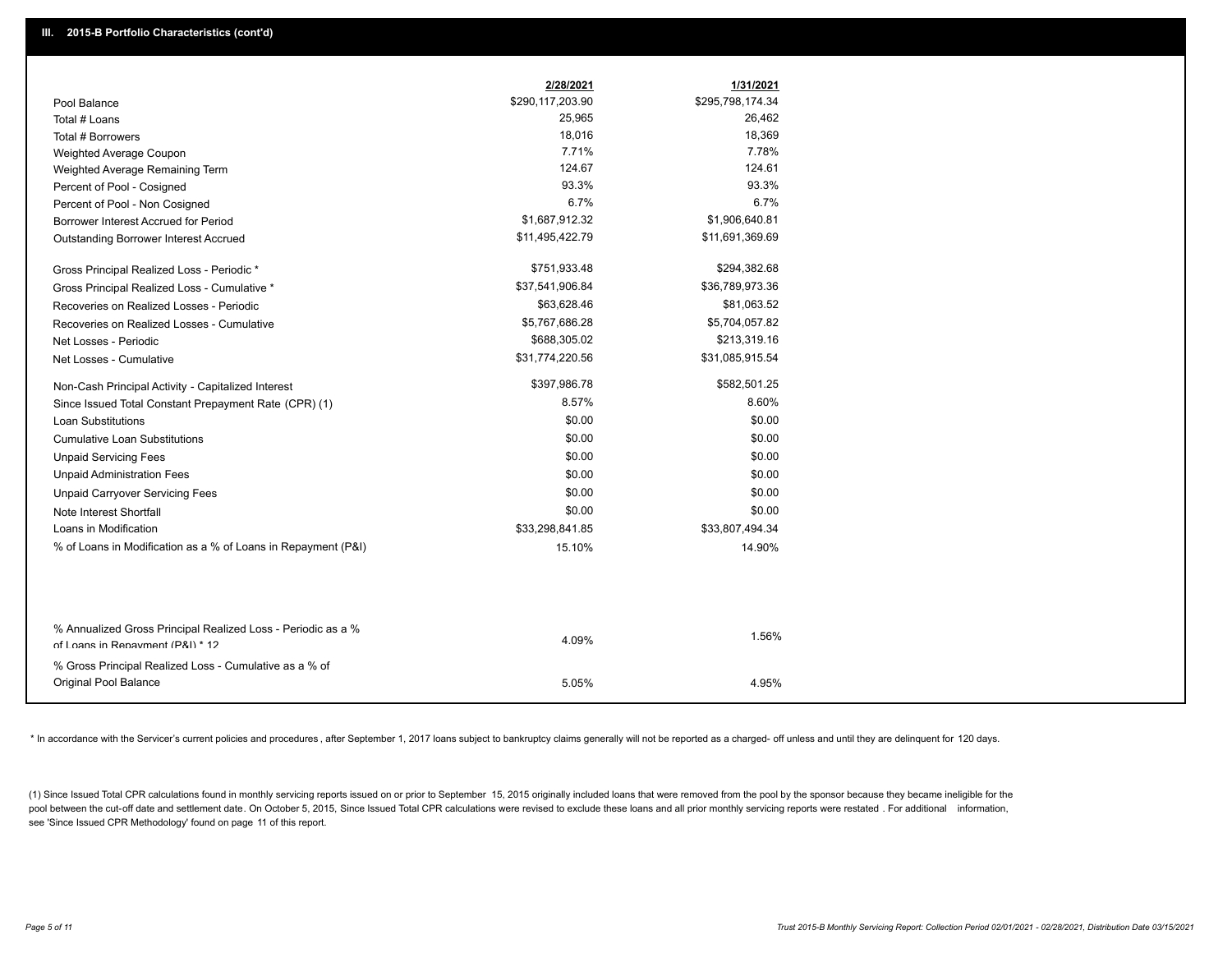|                                                                                                  | 2/28/2021        | 1/31/2021        |
|--------------------------------------------------------------------------------------------------|------------------|------------------|
| Pool Balance                                                                                     | \$290,117,203.90 | \$295,798,174.34 |
| Total # Loans                                                                                    | 25,965           | 26,462           |
| Total # Borrowers                                                                                | 18,016           | 18,369           |
| Weighted Average Coupon                                                                          | 7.71%            | 7.78%            |
| Weighted Average Remaining Term                                                                  | 124.67           | 124.61           |
| Percent of Pool - Cosigned                                                                       | 93.3%            | 93.3%            |
| Percent of Pool - Non Cosigned                                                                   | 6.7%             | 6.7%             |
| Borrower Interest Accrued for Period                                                             | \$1,687,912.32   | \$1,906,640.81   |
| Outstanding Borrower Interest Accrued                                                            | \$11,495,422.79  | \$11,691,369.69  |
| Gross Principal Realized Loss - Periodic *                                                       | \$751,933.48     | \$294,382.68     |
| Gross Principal Realized Loss - Cumulative *                                                     | \$37,541,906.84  | \$36,789,973.36  |
| Recoveries on Realized Losses - Periodic                                                         | \$63,628.46      | \$81,063.52      |
| Recoveries on Realized Losses - Cumulative                                                       | \$5,767,686.28   | \$5,704,057.82   |
| Net Losses - Periodic                                                                            | \$688,305.02     | \$213,319.16     |
| Net Losses - Cumulative                                                                          | \$31,774,220.56  | \$31,085,915.54  |
| Non-Cash Principal Activity - Capitalized Interest                                               | \$397,986.78     | \$582,501.25     |
| Since Issued Total Constant Prepayment Rate (CPR) (1)                                            | 8.57%            | 8.60%            |
| <b>Loan Substitutions</b>                                                                        | \$0.00           | \$0.00           |
| <b>Cumulative Loan Substitutions</b>                                                             | \$0.00           | \$0.00           |
| <b>Unpaid Servicing Fees</b>                                                                     | \$0.00           | \$0.00           |
| <b>Unpaid Administration Fees</b>                                                                | \$0.00           | \$0.00           |
| <b>Unpaid Carryover Servicing Fees</b>                                                           | \$0.00           | \$0.00           |
| Note Interest Shortfall                                                                          | \$0.00           | \$0.00           |
| Loans in Modification                                                                            | \$33,298,841.85  | \$33,807,494.34  |
| % of Loans in Modification as a % of Loans in Repayment (P&I)                                    | 15.10%           | 14.90%           |
|                                                                                                  |                  |                  |
| % Annualized Gross Principal Realized Loss - Periodic as a %<br>of Loans in Repayment (P&I) * 12 | 4.09%            | 1.56%            |
|                                                                                                  |                  |                  |
| % Gross Principal Realized Loss - Cumulative as a % of                                           |                  |                  |
| Original Pool Balance                                                                            | 5.05%            | 4.95%            |

\* In accordance with the Servicer's current policies and procedures, after September 1, 2017 loans subject to bankruptcy claims generally will not be reported as a charged- off unless and until they are delinquent for 120

(1) Since Issued Total CPR calculations found in monthly servicing reports issued on or prior to September 15, 2015 originally included loans that were removed from the pool by the sponsor because they became ineligible fo pool between the cut-off date and settlement date. On October 5, 2015, Since Issued Total CPR calculations were revised to exclude these loans and all prior monthly servicing reports were restated . For additional informat see 'Since Issued CPR Methodology' found on page 11 of this report.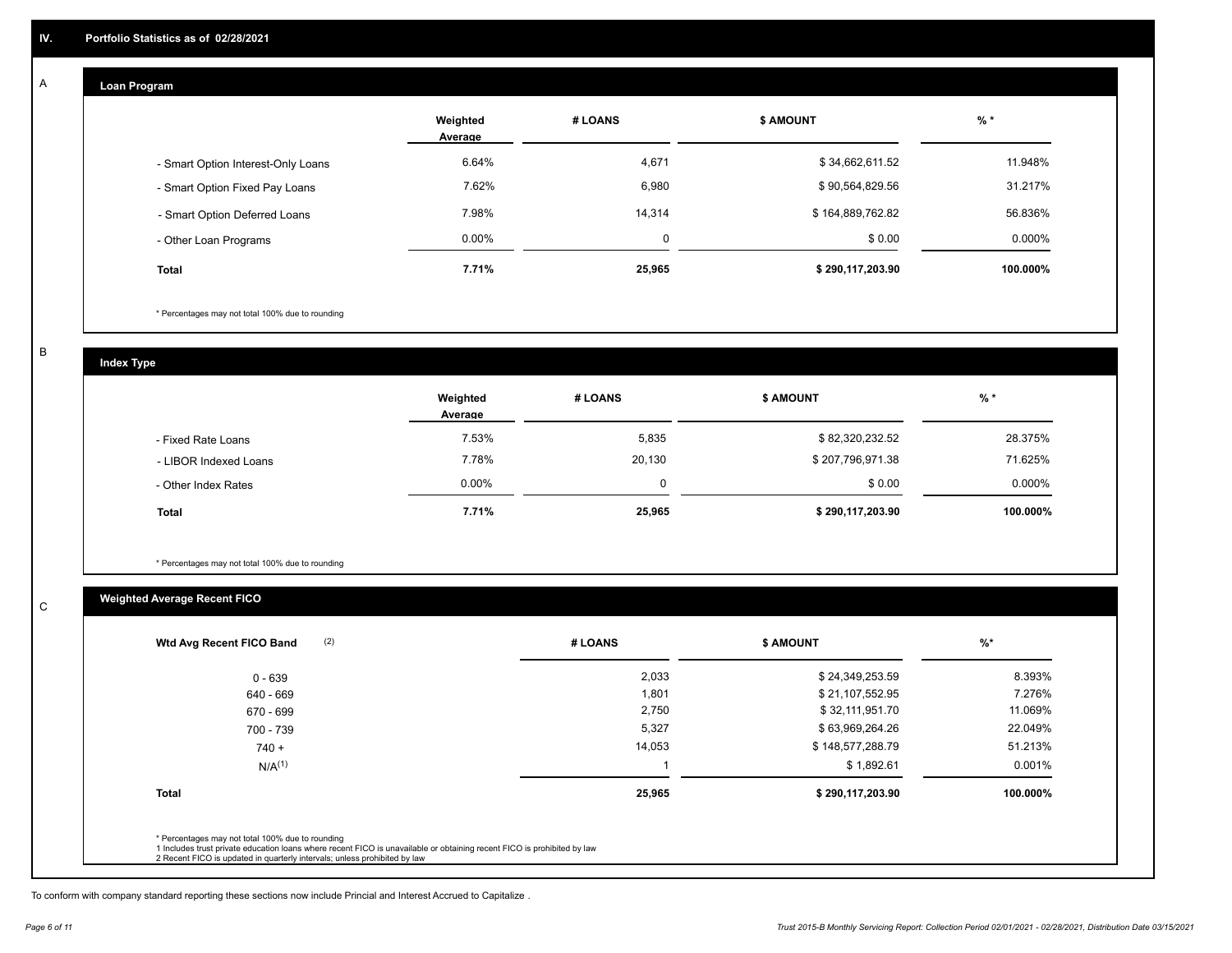#### **Loan Program**  A

|                                    | Weighted<br>Average | # LOANS  | <b>\$ AMOUNT</b> | $%$ *     |
|------------------------------------|---------------------|----------|------------------|-----------|
| - Smart Option Interest-Only Loans | 6.64%               | 4,671    | \$34,662,611.52  | 11.948%   |
| - Smart Option Fixed Pay Loans     | 7.62%               | 6,980    | \$90,564,829.56  | 31.217%   |
| - Smart Option Deferred Loans      | 7.98%               | 14,314   | \$164,889,762.82 | 56.836%   |
| - Other Loan Programs              | $0.00\%$            | $\Omega$ | \$0.00           | $0.000\%$ |
| <b>Total</b>                       | 7.71%               | 25,965   | \$290,117,203.90 | 100.000%  |

\* Percentages may not total 100% due to rounding

B

C

**Index Type**

|                       | Weighted<br>Average | # LOANS | <b>\$ AMOUNT</b> | $%$ *     |
|-----------------------|---------------------|---------|------------------|-----------|
| - Fixed Rate Loans    | 7.53%               | 5,835   | \$82,320,232.52  | 28.375%   |
| - LIBOR Indexed Loans | 7.78%               | 20,130  | \$207,796,971.38 | 71.625%   |
| - Other Index Rates   | $0.00\%$            | 0       | \$0.00           | $0.000\%$ |
| <b>Total</b>          | 7.71%               | 25,965  | \$290,117,203.90 | 100.000%  |

\* Percentages may not total 100% due to rounding

### **Weighted Average Recent FICO**

| # LOANS | \$ AMOUNT        | $\frac{9}{6}$ * |
|---------|------------------|-----------------|
| 2,033   | \$24,349,253.59  | 8.393%          |
| 1,801   | \$21,107,552.95  | 7.276%          |
| 2,750   | \$32,111,951.70  | 11.069%         |
| 5,327   | \$63,969,264.26  | 22.049%         |
| 14,053  | \$148,577,288.79 | 51.213%         |
|         | \$1,892.61       | 0.001%          |
| 25,965  | \$290,117,203.90 | 100.000%        |
|         |                  |                 |
|         |                  |                 |

To conform with company standard reporting these sections now include Princial and Interest Accrued to Capitalize .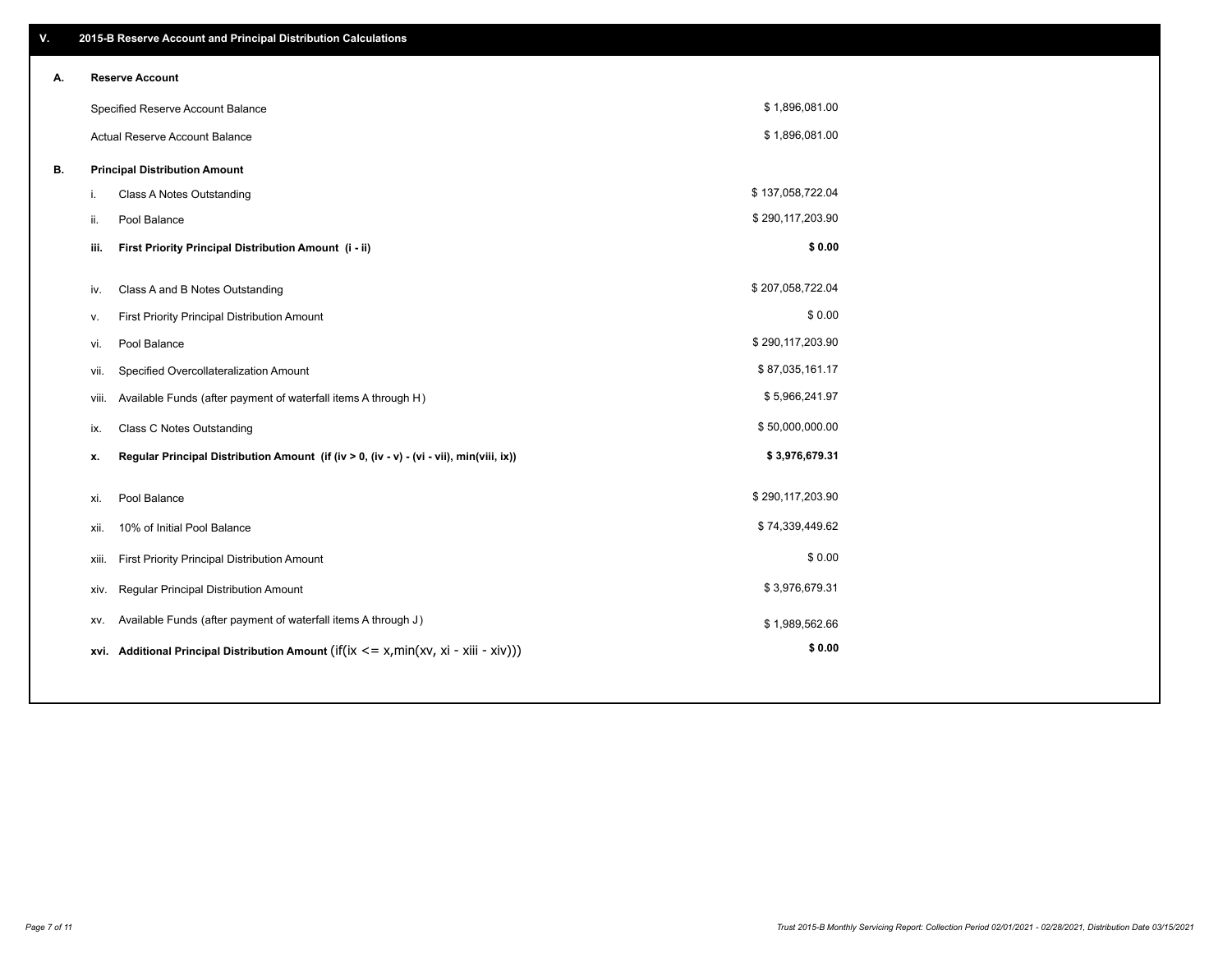| V. |     | 2015-B Reserve Account and Principal Distribution Calculations                              |                  |  |
|----|-----|---------------------------------------------------------------------------------------------|------------------|--|
| А. |     | <b>Reserve Account</b>                                                                      |                  |  |
|    |     | Specified Reserve Account Balance                                                           | \$1,896,081.00   |  |
|    |     | <b>Actual Reserve Account Balance</b>                                                       | \$1,896,081.00   |  |
| В. |     | <b>Principal Distribution Amount</b>                                                        |                  |  |
|    | i.  | Class A Notes Outstanding                                                                   | \$137,058,722.04 |  |
|    | ii. | Pool Balance                                                                                | \$290,117,203.90 |  |
|    |     | First Priority Principal Distribution Amount (i - ii)<br>iii.                               | \$0.00           |  |
|    |     |                                                                                             | \$207,058,722.04 |  |
|    | iv. | Class A and B Notes Outstanding                                                             |                  |  |
|    | v.  | First Priority Principal Distribution Amount                                                | \$0.00           |  |
|    |     | Pool Balance<br>vi.                                                                         | \$290,117,203.90 |  |
|    |     | Specified Overcollateralization Amount<br>vii.                                              | \$87,035,161.17  |  |
|    |     | Available Funds (after payment of waterfall items A through H)<br>viii.                     | \$5,966,241.97   |  |
|    | ix. | <b>Class C Notes Outstanding</b>                                                            | \$50,000,000.00  |  |
|    | x.  | Regular Principal Distribution Amount (if (iv > 0, (iv - v) - (vi - vii), min(viii, ix))    | \$3,976,679.31   |  |
|    |     |                                                                                             |                  |  |
|    | xi. | Pool Balance                                                                                | \$290,117,203.90 |  |
|    |     | 10% of Initial Pool Balance<br>xii.                                                         | \$74,339,449.62  |  |
|    |     | First Priority Principal Distribution Amount<br>xiii.                                       | \$0.00           |  |
|    |     | Regular Principal Distribution Amount<br>XIV.                                               | \$3,976,679.31   |  |
|    |     | Available Funds (after payment of waterfall items A through J)<br>XV.                       | \$1,989,562.66   |  |
|    |     | xvi. Additional Principal Distribution Amount (if(ix $\leq$ = x, min(xv, xi - xiii - xiv))) | \$0.00           |  |
|    |     |                                                                                             |                  |  |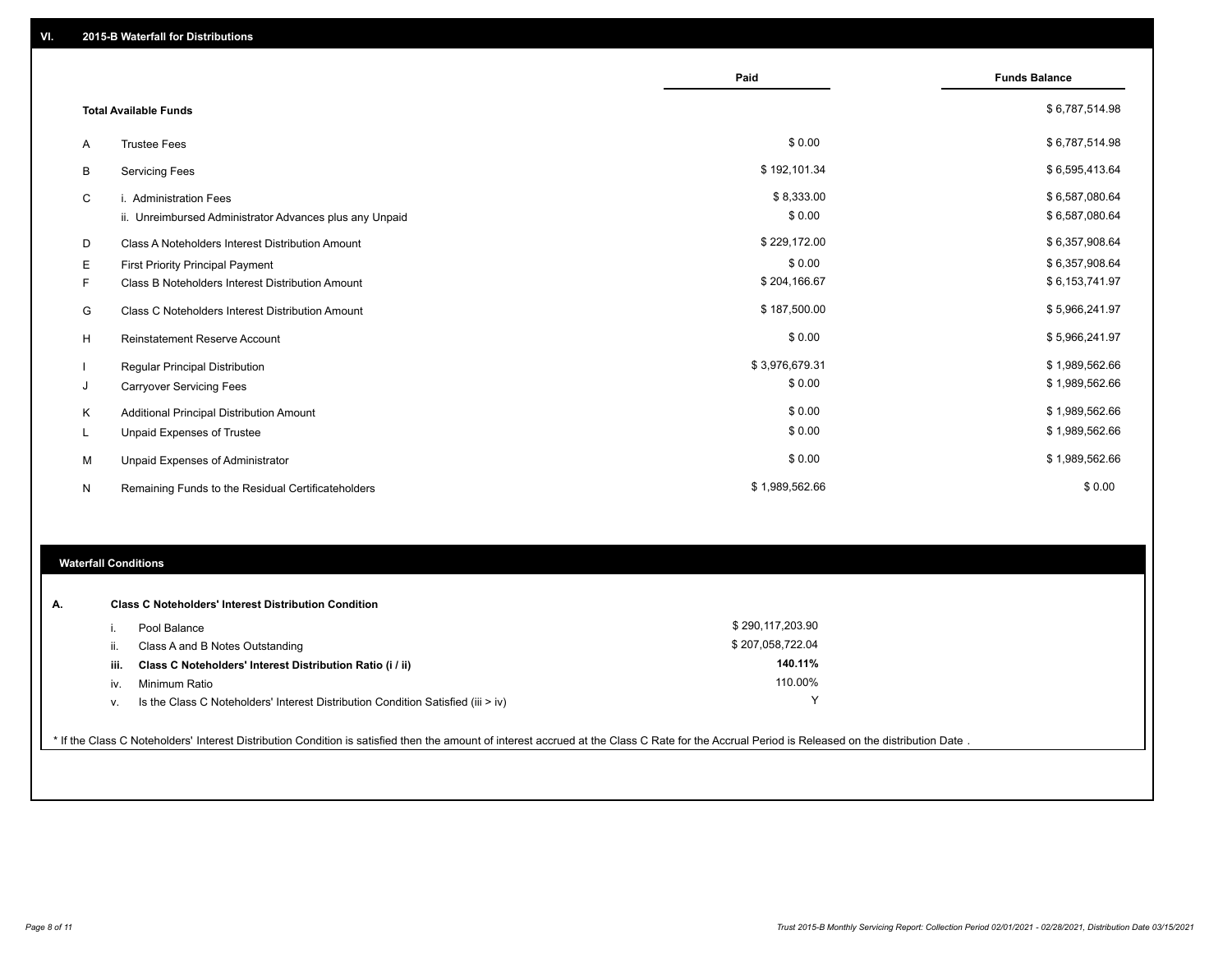|   |                                                         | Paid           | <b>Funds Balance</b> |
|---|---------------------------------------------------------|----------------|----------------------|
|   | <b>Total Available Funds</b>                            |                | \$6,787,514.98       |
| Α | <b>Trustee Fees</b>                                     | \$0.00         | \$6,787,514.98       |
| В | <b>Servicing Fees</b>                                   | \$192,101.34   | \$6,595,413.64       |
| C | i. Administration Fees                                  | \$8,333.00     | \$6,587,080.64       |
|   | ii. Unreimbursed Administrator Advances plus any Unpaid | \$0.00         | \$6,587,080.64       |
| D | Class A Noteholders Interest Distribution Amount        | \$229,172.00   | \$6,357,908.64       |
| Е | <b>First Priority Principal Payment</b>                 | \$0.00         | \$6,357,908.64       |
| F | Class B Noteholders Interest Distribution Amount        | \$204,166.67   | \$6,153,741.97       |
| G | Class C Noteholders Interest Distribution Amount        | \$187,500.00   | \$5,966,241.97       |
| H | <b>Reinstatement Reserve Account</b>                    | \$0.00         | \$5,966,241.97       |
|   | Regular Principal Distribution                          | \$3,976,679.31 | \$1,989,562.66       |
| J | <b>Carryover Servicing Fees</b>                         | \$0.00         | \$1,989,562.66       |
| Κ | Additional Principal Distribution Amount                | \$0.00         | \$1,989,562.66       |
| L | Unpaid Expenses of Trustee                              | \$0.00         | \$1,989,562.66       |
| м | Unpaid Expenses of Administrator                        | \$0.00         | \$1,989,562.66       |
| N | Remaining Funds to the Residual Certificateholders      | \$1,989,562.66 | \$0.00               |

#### **Waterfall Conditions**

| А. |      | <b>Class C Noteholders' Interest Distribution Condition</b>                        |                  |  |
|----|------|------------------------------------------------------------------------------------|------------------|--|
|    |      | Pool Balance                                                                       | \$290,117,203.90 |  |
|    | Ш.   | Class A and B Notes Outstanding                                                    | \$207,058,722.04 |  |
|    | iii. | Class C Noteholders' Interest Distribution Ratio (i / ii)                          | 140.11%          |  |
|    | IV.  | Minimum Ratio                                                                      | 110.00%          |  |
|    | v.   | Is the Class C Noteholders' Interest Distribution Condition Satisfied (iii $>$ iv) |                  |  |
|    |      |                                                                                    |                  |  |

\* If the Class C Noteholders' Interest Distribution Condition is satisfied then the amount of interest accrued at the Class C Rate for the Accrual Period is Released on the distribution Date .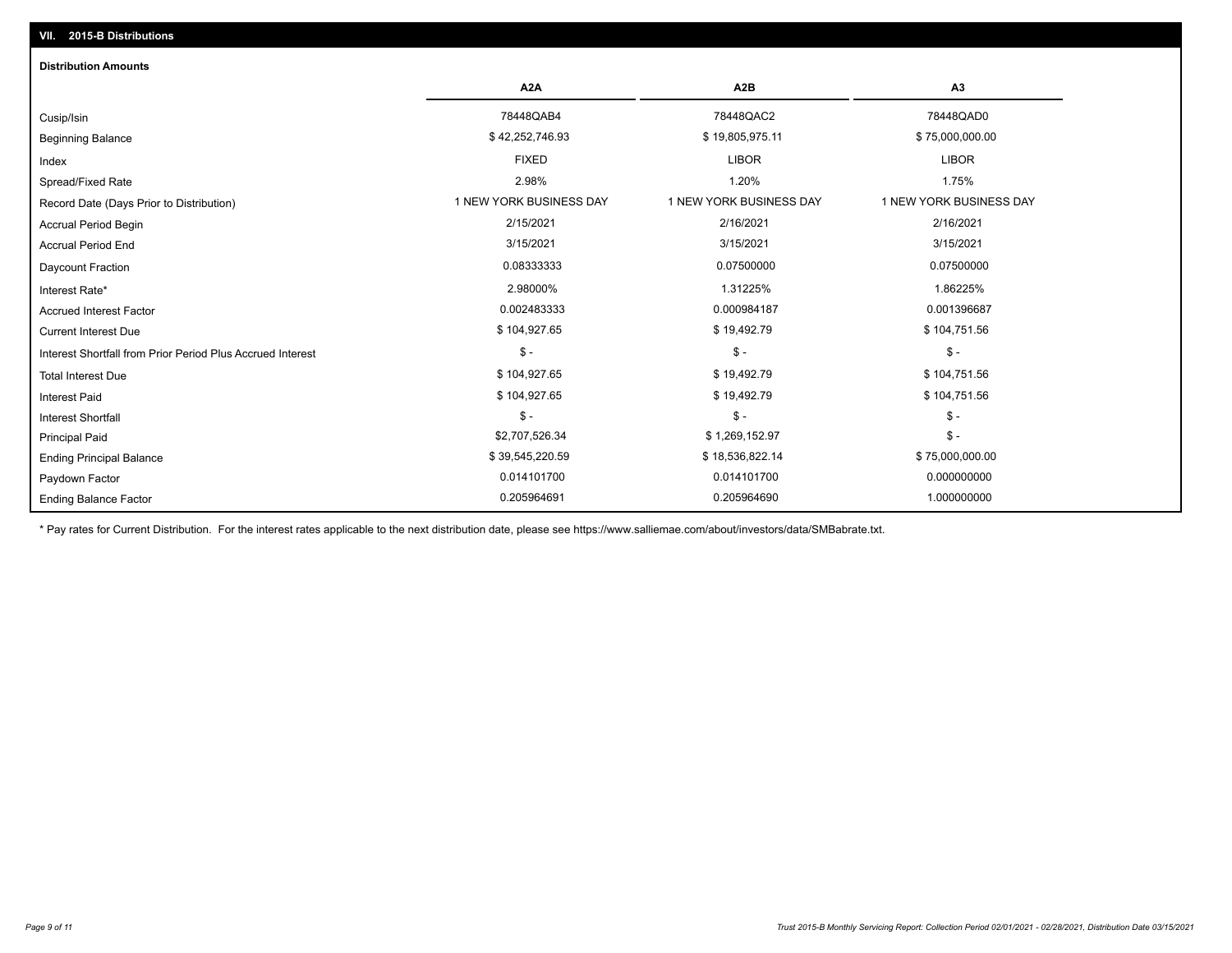## Ending Balance Factor Paydown Factor 0.014101700 0.014101700 0.000000000 Ending Principal Balance \$ 39,545,220.59 \$ \$ 39,545,220.59 \$ \$ 18,536,822.14 \$ 75,000,000.00 Principal Paid \$2,707,526.34 \$ 1,269,152.97 \$ - \$ - \$ - \$ - Interest Shortfall \$ 104,927.65 \$ 19,492.79 \$ 104,751.56 Interest Paid Total Interest Due \$ 104,927.65 \$ 19,492.79 \$ 104,751.56 \$ - \$ - \$ - Interest Shortfall from Prior Period Plus Accrued Interest Current Interest Due \$ 104,927.65 \$ 19,492.79 \$ 104,751.56 Accrued Interest Factor 0.002483333 0.000984187 0.001396687 Interest Rate\* 2.98000% 1.31225% 1.86225% Daycount Fraction 0.08333333 0.07500000 0.07500000 Accrual Period End 3/15/2021 3/15/2021 3/15/2021 Accrual Period Begin 2/15/2021 2/16/2021 2/16/2021 Record Date (Days Prior to Distribution) **1 NEW YORK BUSINESS DAY** 1 NEW YORK BUSINESS DAY 1 NEW YORK BUSINESS DAY Spread/Fixed Rate 2.98% 1.20% 1.75% Index FIXED LIBOR LIBOR Beginning Balance \$ 42,252,746.93 \$ 19,805,975.11 \$ 75,000,000.00 Cusip/Isin 78448QAB4 78448QAC2 78448QAD0 **A2A A2B A3** 0.205964691 0.205964690 1.000000000 **Distribution Amounts**

\* Pay rates for Current Distribution. For the interest rates applicable to the next distribution date, please see https://www.salliemae.com/about/investors/data/SMBabrate.txt.

**VII. 2015-B Distributions**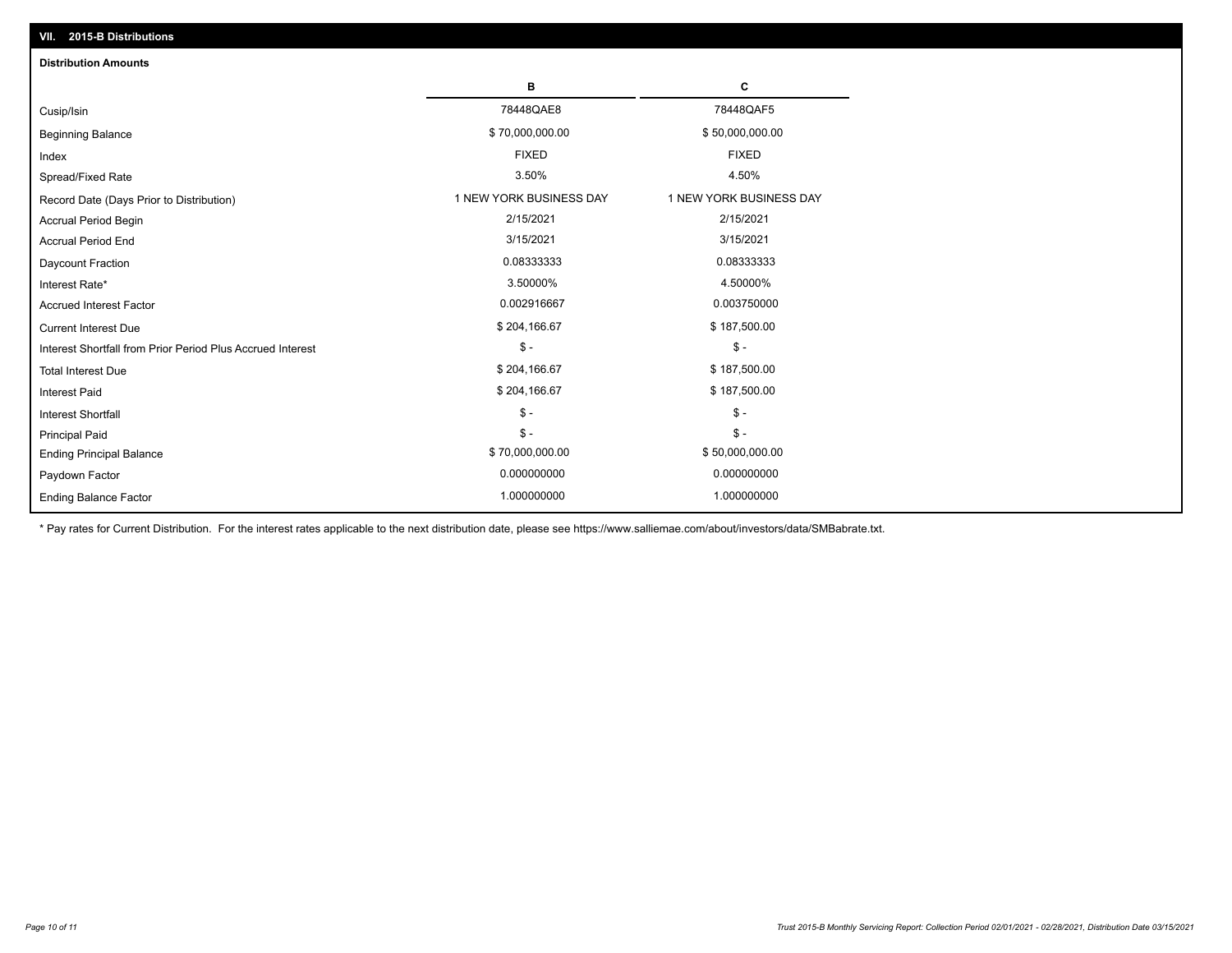| VII. 2015-B Distributions                                  |                         |                         |  |  |  |
|------------------------------------------------------------|-------------------------|-------------------------|--|--|--|
| <b>Distribution Amounts</b>                                |                         |                         |  |  |  |
|                                                            | в                       | C                       |  |  |  |
| Cusip/Isin                                                 | 78448QAE8               | 78448QAF5               |  |  |  |
| <b>Beginning Balance</b>                                   | \$70,000,000.00         | \$50,000,000.00         |  |  |  |
| Index                                                      | <b>FIXED</b>            | <b>FIXED</b>            |  |  |  |
| Spread/Fixed Rate                                          | 3.50%                   | 4.50%                   |  |  |  |
| Record Date (Days Prior to Distribution)                   | 1 NEW YORK BUSINESS DAY | 1 NEW YORK BUSINESS DAY |  |  |  |
| <b>Accrual Period Begin</b>                                | 2/15/2021               | 2/15/2021               |  |  |  |
| <b>Accrual Period End</b>                                  | 3/15/2021               | 3/15/2021               |  |  |  |
| Daycount Fraction                                          | 0.08333333              | 0.08333333              |  |  |  |
| Interest Rate*                                             | 3.50000%                | 4.50000%                |  |  |  |
| <b>Accrued Interest Factor</b>                             | 0.002916667             | 0.003750000             |  |  |  |
| <b>Current Interest Due</b>                                | \$204,166.67            | \$187,500.00            |  |  |  |
| Interest Shortfall from Prior Period Plus Accrued Interest | $\mathcal{S}$ -         | $\frac{1}{2}$           |  |  |  |
| <b>Total Interest Due</b>                                  | \$204,166.67            | \$187,500.00            |  |  |  |
| Interest Paid                                              | \$204,166.67            | \$187,500.00            |  |  |  |
| Interest Shortfall                                         | $\mathcal{S}$ -         | $\frac{1}{2}$           |  |  |  |
| <b>Principal Paid</b>                                      | $$ -$                   | $$ -$                   |  |  |  |
| <b>Ending Principal Balance</b>                            | \$70,000,000.00         | \$50,000,000.00         |  |  |  |
| Paydown Factor                                             | 0.000000000             | 0.000000000             |  |  |  |
| <b>Ending Balance Factor</b>                               | 1.000000000             | 1.000000000             |  |  |  |

\* Pay rates for Current Distribution. For the interest rates applicable to the next distribution date, please see https://www.salliemae.com/about/investors/data/SMBabrate.txt.